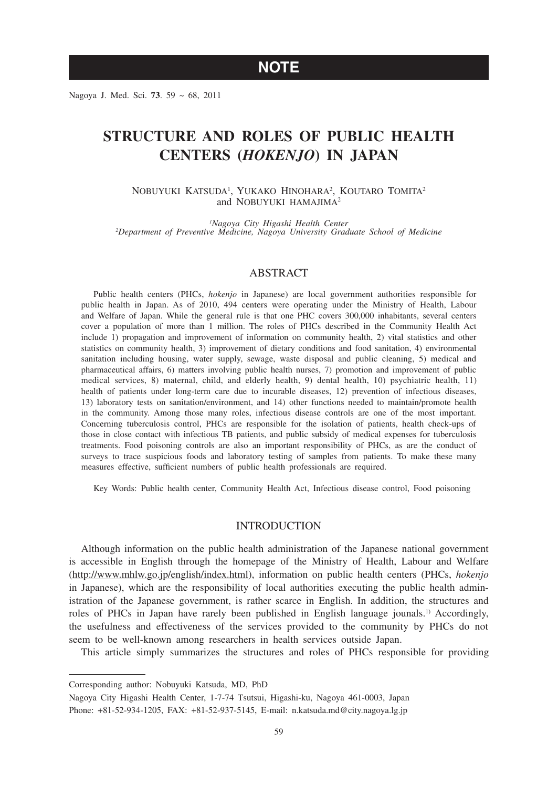**NOTE**

Nagoya J. Med. Sci. **73**. 59 ~ 68, 2011

# **STRUCTURE AND ROLES OF PUBLIC HEALTH CENTERS (***HOKENJO***) IN JAPAN**

NOBUYUKI KATSUDA<sup>1</sup>, YUKAKO HINOHARA<sup>2</sup>, KOUTARO TOMITA<sup>2</sup> and NOBUYUKI HAMAJIMA<sup>2</sup>

*1 Nagoya City Higashi Health Center <sup>2</sup> Department of Preventive Medicine, Nagoya University Graduate School of Medicine*

### ABSTRACT

Public health centers (PHCs, *hokenjo* in Japanese) are local government authorities responsible for public health in Japan. As of 2010, 494 centers were operating under the Ministry of Health, Labour and Welfare of Japan. While the general rule is that one PHC covers 300,000 inhabitants, several centers cover a population of more than 1 million. The roles of PHCs described in the Community Health Act include 1) propagation and improvement of information on community health, 2) vital statistics and other statistics on community health, 3) improvement of dietary conditions and food sanitation, 4) environmental sanitation including housing, water supply, sewage, waste disposal and public cleaning, 5) medical and pharmaceutical affairs, 6) matters involving public health nurses, 7) promotion and improvement of public medical services, 8) maternal, child, and elderly health, 9) dental health, 10) psychiatric health, 11) health of patients under long-term care due to incurable diseases, 12) prevention of infectious diseases, 13) laboratory tests on sanitation/environment, and 14) other functions needed to maintain/promote health in the community. Among those many roles, infectious disease controls are one of the most important. Concerning tuberculosis control, PHCs are responsible for the isolation of patients, health check-ups of those in close contact with infectious TB patients, and public subsidy of medical expenses for tuberculosis treatments. Food poisoning controls are also an important responsibility of PHCs, as are the conduct of surveys to trace suspicious foods and laboratory testing of samples from patients. To make these many measures effective, sufficient numbers of public health professionals are required.

Key Words: Public health center, Community Health Act, Infectious disease control, Food poisoning

# INTRODUCTION

Although information on the public health administration of the Japanese national government is accessible in English through the homepage of the Ministry of Health, Labour and Welfare (http://www.mhlw.go.jp/english/index.html), information on public health centers (PHCs, *hokenjo* in Japanese), which are the responsibility of local authorities executing the public health administration of the Japanese government, is rather scarce in English. In addition, the structures and roles of PHCs in Japan have rarely been published in English language jounals.1) Accordingly, the usefulness and effectiveness of the services provided to the community by PHCs do not seem to be well-known among researchers in health services outside Japan.

This article simply summarizes the structures and roles of PHCs responsible for providing

Corresponding author: Nobuyuki Katsuda, MD, PhD

Nagoya City Higashi Health Center, 1-7-74 Tsutsui, Higashi-ku, Nagoya 461-0003, Japan Phone: +81-52-934-1205, FAX: +81-52-937-5145, E-mail: n.katsuda.md@city.nagoya.lg.jp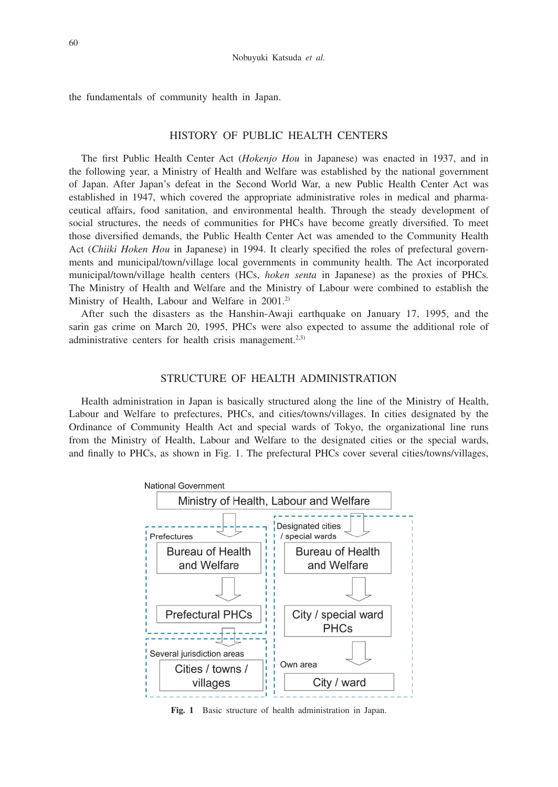the fundamentals of community health in Japan.

# HISTORY OF PUBLIC HEALTH CENTERS

The first Public Health Center Act (*Hokenjo Hou* in Japanese) was enacted in 1937, and in the following year, a Ministry of Health and Welfare was established by the national government of Japan. After Japan's defeat in the Second World War, a new Public Health Center Act was established in 1947, which covered the appropriate administrative roles in medical and pharmaceutical affairs, food sanitation, and environmental health. Through the steady development of social structures, the needs of communities for PHCs have become greatly diversified. To meet those diversified demands, the Public Health Center Act was amended to the Community Health Act (*Chiiki Hoken Hou* in Japanese) in 1994. It clearly specified the roles of prefectural governments and municipal/town/village local governments in community health. The Act incorporated municipal/town/village health centers (HCs, *hoken senta* in Japanese) as the proxies of PHCs. The Ministry of Health and Welfare and the Ministry of Labour were combined to establish the Ministry of Health, Labour and Welfare in 2001.<sup>2)</sup>

After such the disasters as the Hanshin-Awaji earthquake on January 17, 1995, and the sarin gas crime on March 20, 1995, PHCs were also expected to assume the additional role of administrative centers for health crisis management.<sup>2,3)</sup>

# STRUCTURE OF HEALTH ADMINISTRATION

Health administration in Japan is basically structured along the line of the Ministry of Health, Labour and Welfare to prefectures, PHCs, and cities/towns/villages. In cities designated by the Ordinance of Community Health Act and special wards of Tokyo, the organizational line runs from the Ministry of Health, Labour and Welfare to the designated cities or the special wards, and finally to PHCs, as shown in Fig. 1. The prefectural PHCs cover several cities/towns/villages,



**Fig. 1** Basic structure of health administration in Japan.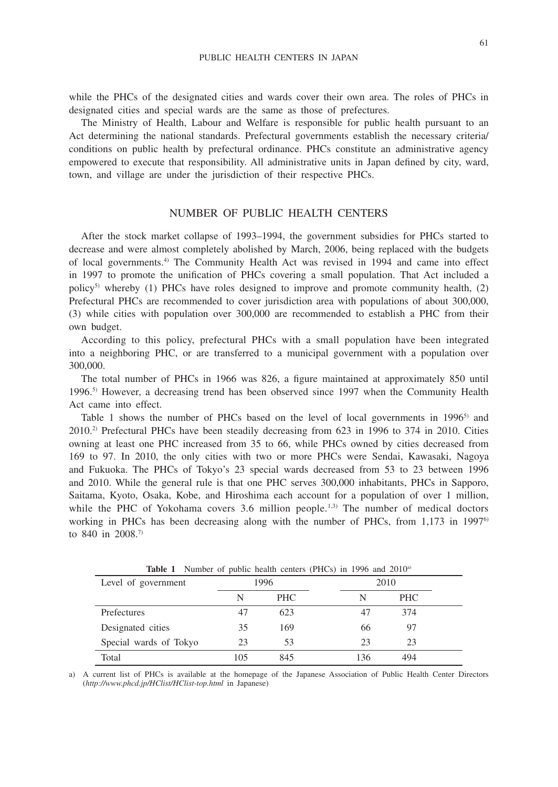while the PHCs of the designated cities and wards cover their own area. The roles of PHCs in designated cities and special wards are the same as those of prefectures.

The Ministry of Health, Labour and Welfare is responsible for public health pursuant to an Act determining the national standards. Prefectural governments establish the necessary criteria/ conditions on public health by prefectural ordinance. PHCs constitute an administrative agency empowered to execute that responsibility. All administrative units in Japan defined by city, ward, town, and village are under the jurisdiction of their respective PHCs.

# NUMBER OF PUBLIC HEALTH CENTERS

After the stock market collapse of 1993–1994, the government subsidies for PHCs started to decrease and were almost completely abolished by March, 2006, being replaced with the budgets of local governments.4) The Community Health Act was revised in 1994 and came into effect in 1997 to promote the unification of PHCs covering a small population. That Act included a policy<sup>5)</sup> whereby (1) PHCs have roles designed to improve and promote community health, (2) Prefectural PHCs are recommended to cover jurisdiction area with populations of about 300,000, (3) while cities with population over 300,000 are recommended to establish a PHC from their own budget.

According to this policy, prefectural PHCs with a small population have been integrated into a neighboring PHC, or are transferred to a municipal government with a population over 300,000.

The total number of PHCs in 1966 was 826, a figure maintained at approximately 850 until 1996.5) However, a decreasing trend has been observed since 1997 when the Community Health Act came into effect.

Table 1 shows the number of PHCs based on the level of local governments in  $1996^5$  and 2010.2) Prefectural PHCs have been steadily decreasing from 623 in 1996 to 374 in 2010. Cities owning at least one PHC increased from 35 to 66, while PHCs owned by cities decreased from 169 to 97. In 2010, the only cities with two or more PHCs were Sendai, Kawasaki, Nagoya and Fukuoka. The PHCs of Tokyo's 23 special wards decreased from 53 to 23 between 1996 and 2010. While the general rule is that one PHC serves 300,000 inhabitants, PHCs in Sapporo, Saitama, Kyoto, Osaka, Kobe, and Hiroshima each account for a population of over 1 million, while the PHC of Yokohama covers  $3.6$  million people.<sup>1,3)</sup> The number of medical doctors working in PHCs has been decreasing along with the number of PHCs, from 1,173 in 1997<sup>6</sup> to 840 in 2008.7)

| Level of government    | 1996 |            | 2010       |
|------------------------|------|------------|------------|
|                        | N    | <b>PHC</b> | <b>PHC</b> |
| Prefectures            | 47   | 623        | 374<br>47  |
| Designated cities      | 35   | 169        | 97<br>66   |
| Special wards of Tokyo | 23   | 53         | 23<br>23   |
| Total                  | 105  | 845        | 136<br>494 |

**Table 1** Number of public health centers (PHCs) in 1996 and 2010<sup>a)</sup>

a) A current list of PHCs is available at the homepage of the Japanese Association of Public Health Center Directors (*http://www.phcd.jp/HClist/HClist-top.html* in Japanese)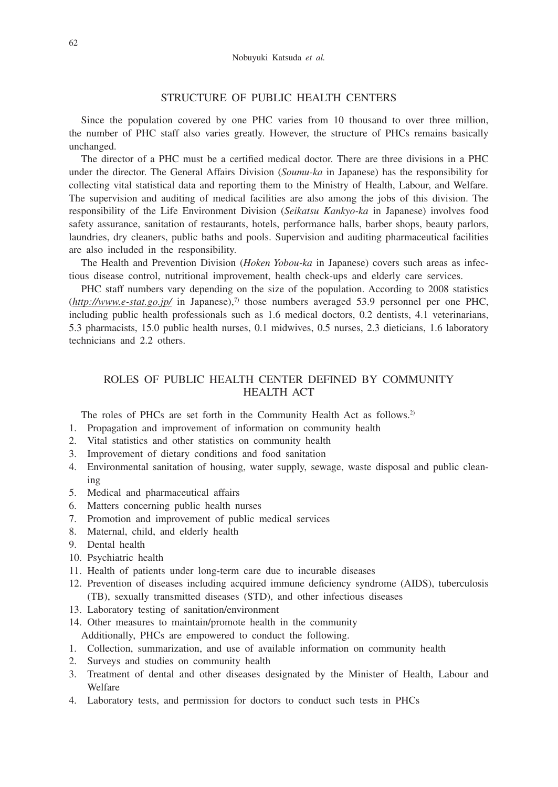# STRUCTURE OF PUBLIC HEALTH CENTERS

Since the population covered by one PHC varies from 10 thousand to over three million, the number of PHC staff also varies greatly. However, the structure of PHCs remains basically unchanged.

The director of a PHC must be a certified medical doctor. There are three divisions in a PHC under the director. The General Affairs Division (*Soumu-ka* in Japanese) has the responsibility for collecting vital statistical data and reporting them to the Ministry of Health, Labour, and Welfare. The supervision and auditing of medical facilities are also among the jobs of this division. The responsibility of the Life Environment Division (*Seikatsu Kankyo-ka* in Japanese) involves food safety assurance, sanitation of restaurants, hotels, performance halls, barber shops, beauty parlors, laundries, dry cleaners, public baths and pools. Supervision and auditing pharmaceutical facilities are also included in the responsibility.

The Health and Prevention Division (*Hoken Yobou-ka* in Japanese) covers such areas as infectious disease control, nutritional improvement, health check-ups and elderly care services.

PHC staff numbers vary depending on the size of the population. According to 2008 statistics  $(*http://www.e-stat.gov.jp/* in Japanese),<sup>7</sup> those numbers averaged 53.9 personnel per one PHC,$ including public health professionals such as 1.6 medical doctors, 0.2 dentists, 4.1 veterinarians, 5.3 pharmacists, 15.0 public health nurses, 0.1 midwives, 0.5 nurses, 2.3 dieticians, 1.6 laboratory technicians and 2.2 others.

# ROLES OF PUBLIC HEALTH CENTER DEFINED BY COMMUNITY HEALTH ACT

The roles of PHCs are set forth in the Community Health Act as follows.<sup>2)</sup>

- 1. Propagation and improvement of information on community health
- 2. Vital statistics and other statistics on community health
- 3. Improvement of dietary conditions and food sanitation
- 4. Environmental sanitation of housing, water supply, sewage, waste disposal and public cleaning
- 5. Medical and pharmaceutical affairs
- 6. Matters concerning public health nurses
- 7. Promotion and improvement of public medical services
- 8. Maternal, child, and elderly health
- 9. Dental health
- 10. Psychiatric health
- 11. Health of patients under long-term care due to incurable diseases
- 12. Prevention of diseases including acquired immune deficiency syndrome (AIDS), tuberculosis (TB), sexually transmitted diseases (STD), and other infectious diseases
- 13. Laboratory testing of sanitation/environment
- 14. Other measures to maintain/promote health in the community Additionally, PHCs are empowered to conduct the following.
- 1. Collection, summarization, and use of available information on community health
- 2. Surveys and studies on community health
- 3. Treatment of dental and other diseases designated by the Minister of Health, Labour and Welfare
- 4. Laboratory tests, and permission for doctors to conduct such tests in PHCs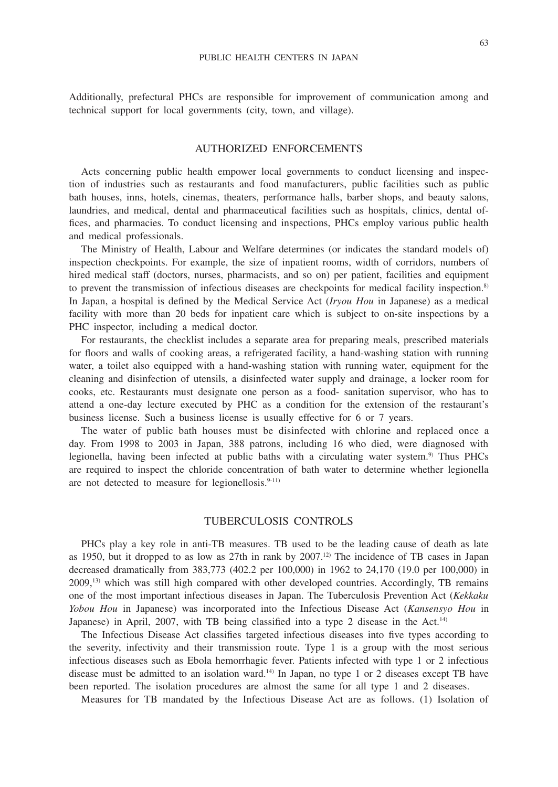Additionally, prefectural PHCs are responsible for improvement of communication among and technical support for local governments (city, town, and village).

### AUTHORIZED ENFORCEMENTS

Acts concerning public health empower local governments to conduct licensing and inspection of industries such as restaurants and food manufacturers, public facilities such as public bath houses, inns, hotels, cinemas, theaters, performance halls, barber shops, and beauty salons, laundries, and medical, dental and pharmaceutical facilities such as hospitals, clinics, dental offices, and pharmacies. To conduct licensing and inspections, PHCs employ various public health and medical professionals.

The Ministry of Health, Labour and Welfare determines (or indicates the standard models of) inspection checkpoints. For example, the size of inpatient rooms, width of corridors, numbers of hired medical staff (doctors, nurses, pharmacists, and so on) per patient, facilities and equipment to prevent the transmission of infectious diseases are checkpoints for medical facility inspection.<sup>8)</sup> In Japan, a hospital is defined by the Medical Service Act (*Iryou Hou* in Japanese) as a medical facility with more than 20 beds for inpatient care which is subject to on-site inspections by a PHC inspector, including a medical doctor.

For restaurants, the checklist includes a separate area for preparing meals, prescribed materials for floors and walls of cooking areas, a refrigerated facility, a hand-washing station with running water, a toilet also equipped with a hand-washing station with running water, equipment for the cleaning and disinfection of utensils, a disinfected water supply and drainage, a locker room for cooks, etc. Restaurants must designate one person as a food- sanitation supervisor, who has to attend a one-day lecture executed by PHC as a condition for the extension of the restaurant's business license. Such a business license is usually effective for 6 or 7 years.

The water of public bath houses must be disinfected with chlorine and replaced once a day. From 1998 to 2003 in Japan, 388 patrons, including 16 who died, were diagnosed with legionella, having been infected at public baths with a circulating water system.<sup>9)</sup> Thus PHCs are required to inspect the chloride concentration of bath water to determine whether legionella are not detected to measure for legionellosis. $9-11$ )

### TUBERCULOSIS CONTROLS

PHCs play a key role in anti-TB measures. TB used to be the leading cause of death as late as 1950, but it dropped to as low as 27th in rank by 2007.12) The incidence of TB cases in Japan decreased dramatically from 383,773 (402.2 per 100,000) in 1962 to 24,170 (19.0 per 100,000) in 2009,13) which was still high compared with other developed countries. Accordingly, TB remains one of the most important infectious diseases in Japan. The Tuberculosis Prevention Act (*Kekkaku Yobou Hou* in Japanese) was incorporated into the Infectious Disease Act (*Kansensyo Hou* in Japanese) in April, 2007, with TB being classified into a type 2 disease in the Act.<sup>14)</sup>

The Infectious Disease Act classifies targeted infectious diseases into five types according to the severity, infectivity and their transmission route. Type 1 is a group with the most serious infectious diseases such as Ebola hemorrhagic fever. Patients infected with type 1 or 2 infectious disease must be admitted to an isolation ward.14) In Japan, no type 1 or 2 diseases except TB have been reported. The isolation procedures are almost the same for all type 1 and 2 diseases.

Measures for TB mandated by the Infectious Disease Act are as follows. (1) Isolation of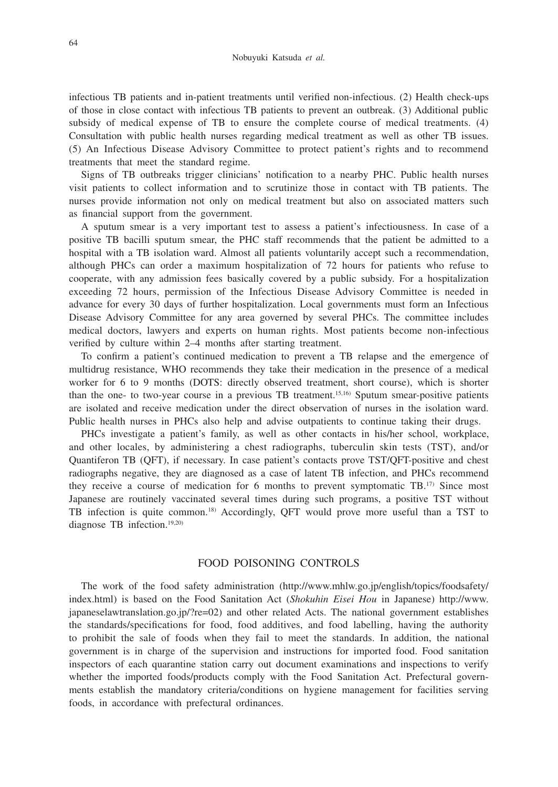infectious TB patients and in-patient treatments until verified non-infectious. (2) Health check-ups of those in close contact with infectious TB patients to prevent an outbreak. (3) Additional public subsidy of medical expense of TB to ensure the complete course of medical treatments. (4) Consultation with public health nurses regarding medical treatment as well as other TB issues. (5) An Infectious Disease Advisory Committee to protect patient's rights and to recommend treatments that meet the standard regime.

Signs of TB outbreaks trigger clinicians' notification to a nearby PHC. Public health nurses visit patients to collect information and to scrutinize those in contact with TB patients. The nurses provide information not only on medical treatment but also on associated matters such as financial support from the government.

A sputum smear is a very important test to assess a patient's infectiousness. In case of a positive TB bacilli sputum smear, the PHC staff recommends that the patient be admitted to a hospital with a TB isolation ward. Almost all patients voluntarily accept such a recommendation, although PHCs can order a maximum hospitalization of 72 hours for patients who refuse to cooperate, with any admission fees basically covered by a public subsidy. For a hospitalization exceeding 72 hours, permission of the Infectious Disease Advisory Committee is needed in advance for every 30 days of further hospitalization. Local governments must form an Infectious Disease Advisory Committee for any area governed by several PHCs. The committee includes medical doctors, lawyers and experts on human rights. Most patients become non-infectious verified by culture within 2–4 months after starting treatment.

To confirm a patient's continued medication to prevent a TB relapse and the emergence of multidrug resistance, WHO recommends they take their medication in the presence of a medical worker for 6 to 9 months (DOTS: directly observed treatment, short course), which is shorter than the one- to two-year course in a previous TB treatment.15,16) Sputum smear-positive patients are isolated and receive medication under the direct observation of nurses in the isolation ward. Public health nurses in PHCs also help and advise outpatients to continue taking their drugs.

PHCs investigate a patient's family, as well as other contacts in his/her school, workplace, and other locales, by administering a chest radiographs, tuberculin skin tests (TST), and/or Quantiferon TB (QFT), if necessary. In case patient's contacts prove TST/QFT-positive and chest radiographs negative, they are diagnosed as a case of latent TB infection, and PHCs recommend they receive a course of medication for 6 months to prevent symptomatic TB.17) Since most Japanese are routinely vaccinated several times during such programs, a positive TST without TB infection is quite common.18) Accordingly, QFT would prove more useful than a TST to diagnose TB infection.19,20)

### FOOD POISONING CONTROLS

The work of the food safety administration (http://www.mhlw.go.jp/english/topics/foodsafety/ index.html) is based on the Food Sanitation Act (*Shokuhin Eisei Hou* in Japanese) http://www. japaneselawtranslation.go.jp/?re=02) and other related Acts. The national government establishes the standards/specifications for food, food additives, and food labelling, having the authority to prohibit the sale of foods when they fail to meet the standards. In addition, the national government is in charge of the supervision and instructions for imported food. Food sanitation inspectors of each quarantine station carry out document examinations and inspections to verify whether the imported foods/products comply with the Food Sanitation Act. Prefectural governments establish the mandatory criteria/conditions on hygiene management for facilities serving foods, in accordance with prefectural ordinances.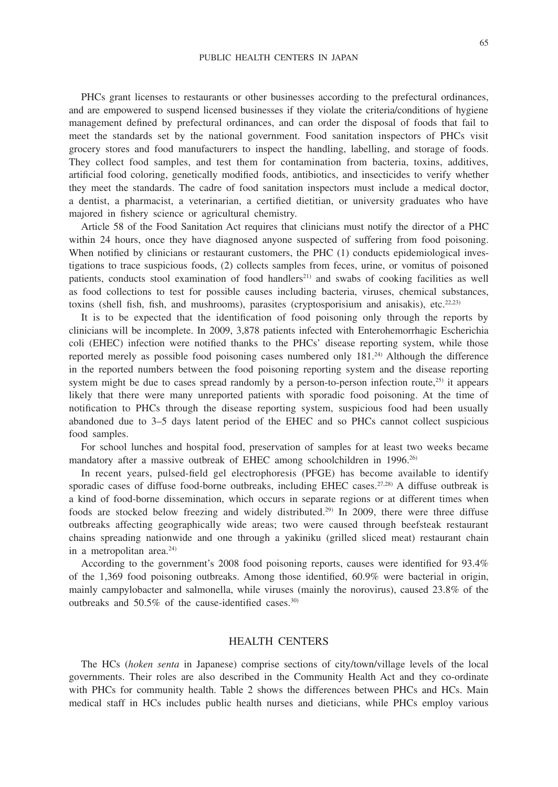PHCs grant licenses to restaurants or other businesses according to the prefectural ordinances, and are empowered to suspend licensed businesses if they violate the criteria/conditions of hygiene management defined by prefectural ordinances, and can order the disposal of foods that fail to meet the standards set by the national government. Food sanitation inspectors of PHCs visit grocery stores and food manufacturers to inspect the handling, labelling, and storage of foods. They collect food samples, and test them for contamination from bacteria, toxins, additives, artificial food coloring, genetically modified foods, antibiotics, and insecticides to verify whether they meet the standards. The cadre of food sanitation inspectors must include a medical doctor, a dentist, a pharmacist, a veterinarian, a certified dietitian, or university graduates who have majored in fishery science or agricultural chemistry.

Article 58 of the Food Sanitation Act requires that clinicians must notify the director of a PHC within 24 hours, once they have diagnosed anyone suspected of suffering from food poisoning. When notified by clinicians or restaurant customers, the PHC (1) conducts epidemiological investigations to trace suspicious foods, (2) collects samples from feces, urine, or vomitus of poisoned patients, conducts stool examination of food handlers<sup>21)</sup> and swabs of cooking facilities as well as food collections to test for possible causes including bacteria, viruses, chemical substances, toxins (shell fish, fish, and mushrooms), parasites (cryptosporisium and anisakis), etc.<sup>22,23)</sup>

It is to be expected that the identification of food poisoning only through the reports by clinicians will be incomplete. In 2009, 3,878 patients infected with Enterohemorrhagic Escherichia coli (EHEC) infection were notified thanks to the PHCs' disease reporting system, while those reported merely as possible food poisoning cases numbered only 181.24) Although the difference in the reported numbers between the food poisoning reporting system and the disease reporting system might be due to cases spread randomly by a person-to-person infection route, $^{25}$  it appears likely that there were many unreported patients with sporadic food poisoning. At the time of notification to PHCs through the disease reporting system, suspicious food had been usually abandoned due to 3–5 days latent period of the EHEC and so PHCs cannot collect suspicious food samples.

For school lunches and hospital food, preservation of samples for at least two weeks became mandatory after a massive outbreak of EHEC among schoolchildren in 1996.<sup>26)</sup>

In recent years, pulsed-field gel electrophoresis (PFGE) has become available to identify sporadic cases of diffuse food-borne outbreaks, including EHEC cases.<sup>27,28)</sup> A diffuse outbreak is a kind of food-borne dissemination, which occurs in separate regions or at different times when foods are stocked below freezing and widely distributed.29) In 2009, there were three diffuse outbreaks affecting geographically wide areas; two were caused through beefsteak restaurant chains spreading nationwide and one through a yakiniku (grilled sliced meat) restaurant chain in a metropolitan area.<sup>24)</sup>

According to the government's 2008 food poisoning reports, causes were identified for 93.4% of the 1,369 food poisoning outbreaks. Among those identified, 60.9% were bacterial in origin, mainly campylobacter and salmonella, while viruses (mainly the norovirus), caused 23.8% of the outbreaks and 50.5% of the cause-identified cases.30)

### HEALTH CENTERS

The HCs (*hoken senta* in Japanese) comprise sections of city/town/village levels of the local governments. Their roles are also described in the Community Health Act and they co-ordinate with PHCs for community health. Table 2 shows the differences between PHCs and HCs. Main medical staff in HCs includes public health nurses and dieticians, while PHCs employ various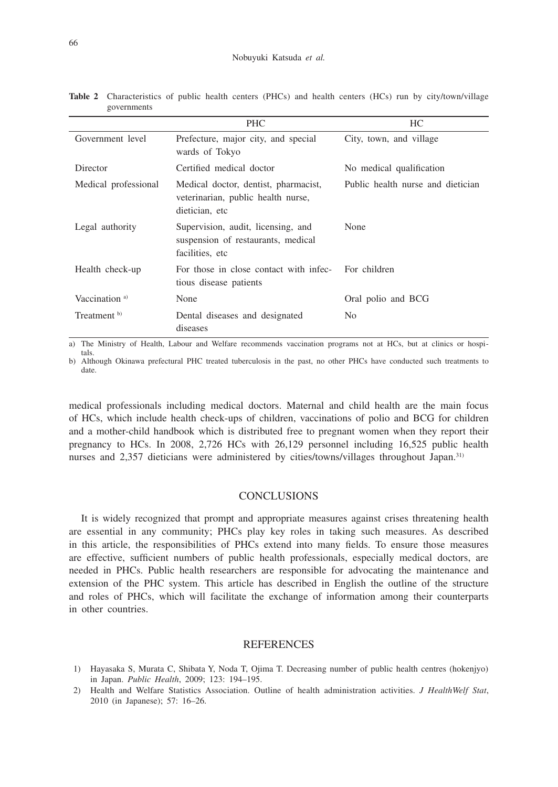|                           | <b>PHC</b>                                                                                   | HC                                |
|---------------------------|----------------------------------------------------------------------------------------------|-----------------------------------|
| Government level          | Prefecture, major city, and special<br>wards of Tokyo                                        | City, town, and village           |
| Director                  | Certified medical doctor                                                                     | No medical qualification          |
| Medical professional      | Medical doctor, dentist, pharmacist,<br>veterinarian, public health nurse,<br>dietician, etc | Public health nurse and dietician |
| Legal authority           | Supervision, audit, licensing, and<br>suspension of restaurants, medical<br>facilities, etc. | None                              |
| Health check-up           | For those in close contact with infec-<br>tious disease patients                             | For children                      |
| Vaccination <sup>a)</sup> | None                                                                                         | Oral polio and BCG                |
| Treatment b)              | Dental diseases and designated<br>diseases                                                   | No.                               |

**Table 2** Characteristics of public health centers (PHCs) and health centers (HCs) run by city/town/village governments

a) The Ministry of Health, Labour and Welfare recommends vaccination programs not at HCs, but at clinics or hospitals.

b) Although Okinawa prefectural PHC treated tuberculosis in the past, no other PHCs have conducted such treatments to date.

medical professionals including medical doctors. Maternal and child health are the main focus of HCs, which include health check-ups of children, vaccinations of polio and BCG for children and a mother-child handbook which is distributed free to pregnant women when they report their pregnancy to HCs. In 2008, 2,726 HCs with 26,129 personnel including 16,525 public health nurses and 2,357 dieticians were administered by cities/towns/villages throughout Japan.<sup>31)</sup>

### **CONCLUSIONS**

It is widely recognized that prompt and appropriate measures against crises threatening health are essential in any community; PHCs play key roles in taking such measures. As described in this article, the responsibilities of PHCs extend into many fields. To ensure those measures are effective, sufficient numbers of public health professionals, especially medical doctors, are needed in PHCs. Public health researchers are responsible for advocating the maintenance and extension of the PHC system. This article has described in English the outline of the structure and roles of PHCs, which will facilitate the exchange of information among their counterparts in other countries.

#### **REFERENCES**

- 1) Hayasaka S, Murata C, Shibata Y, Noda T, Ojima T. Decreasing number of public health centres (hokenjyo) in Japan. *Public Health*, 2009; 123: 194–195.
- 2) Health and Welfare Statistics Association. Outline of health administration activities. *J HealthWelf Stat*, 2010 (in Japanese); 57: 16–26.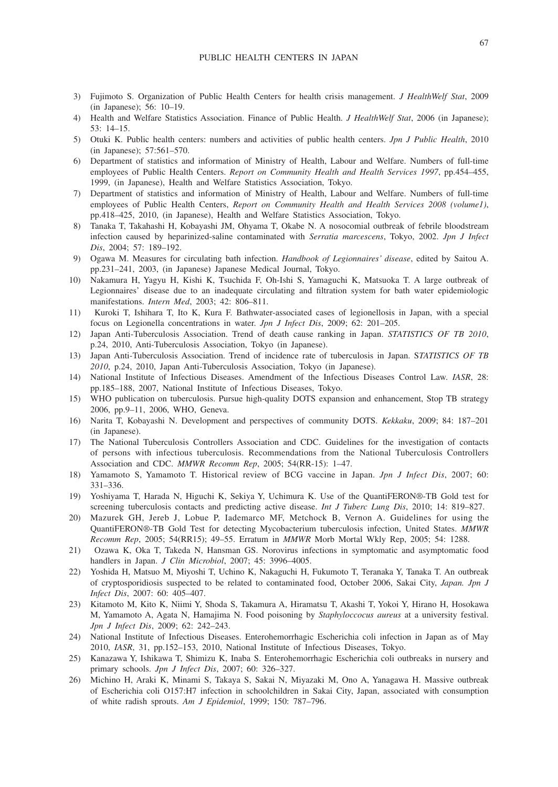- 3) Fujimoto S. Organization of Public Health Centers for health crisis management. *J HealthWelf Stat*, 2009 (in Japanese); 56: 10–19.
- 4) Health and Welfare Statistics Association. Finance of Public Health. *J HealthWelf Stat*, 2006 (in Japanese); 53: 14–15.
- 5) Otuki K. Public health centers: numbers and activities of public health centers. *Jpn J Public Health*, 2010 (in Japanese); 57:561–570.
- 6) Department of statistics and information of Ministry of Health, Labour and Welfare. Numbers of full-time employees of Public Health Centers. *Report on Community Health and Health Services 1997*, pp.454–455, 1999, (in Japanese), Health and Welfare Statistics Association, Tokyo.
- 7) Department of statistics and information of Ministry of Health, Labour and Welfare. Numbers of full-time employees of Public Health Centers, *Report on Community Health and Health Services 2008 (volume1)*, pp.418–425, 2010, (in Japanese), Health and Welfare Statistics Association, Tokyo.
- 8) Tanaka T, Takahashi H, Kobayashi JM, Ohyama T, Okabe N. A nosocomial outbreak of febrile bloodstream infection caused by heparinized-saline contaminated with *Serratia marcescens*, Tokyo, 2002. *Jpn J Infect Dis*, 2004; 57: 189–192.
- 9) Ogawa M. Measures for circulating bath infection. *Handbook of Legionnaires' disease*, edited by Saitou A. pp.231–241, 2003, (in Japanese) Japanese Medical Journal, Tokyo.
- 10) Nakamura H, Yagyu H, Kishi K, Tsuchida F, Oh-Ishi S, Yamaguchi K, Matsuoka T. A large outbreak of Legionnaires' disease due to an inadequate circulating and filtration system for bath water epidemiologic manifestations. *Intern Med*, 2003; 42: 806–811.
- 11) Kuroki T, Ishihara T, Ito K, Kura F. Bathwater-associated cases of legionellosis in Japan, with a special focus on Legionella concentrations in water. *Jpn J Infect Dis*, 2009; 62: 201–205.
- 12) Japan Anti-Tuberculosis Association. Trend of death cause ranking in Japan. *STATISTICS OF TB 2010*, p.24, 2010, Anti-Tuberculosis Association, Tokyo (in Japanese).
- 13) Japan Anti-Tuberculosis Association. Trend of incidence rate of tuberculosis in Japan. S*TATISTICS OF TB 2010*, p.24, 2010, Japan Anti-Tuberculosis Association, Tokyo (in Japanese).
- 14) National Institute of Infectious Diseases. Amendment of the Infectious Diseases Control Law. *IASR*, 28: pp.185–188, 2007, National Institute of Infectious Diseases, Tokyo.
- 15) WHO publication on tuberculosis. Pursue high-quality DOTS expansion and enhancement, Stop TB strategy 2006, pp.9–11, 2006, WHO, Geneva.
- 16) Narita T, Kobayashi N. Development and perspectives of community DOTS. *Kekkaku*, 2009; 84: 187–201 (in Japanese).
- 17) The National Tuberculosis Controllers Association and CDC. Guidelines for the investigation of contacts of persons with infectious tuberculosis. Recommendations from the National Tuberculosis Controllers Association and CDC. *MMWR Recomm Rep*, 2005; 54(RR-15): 1–47.
- 18) Yamamoto S, Yamamoto T. Historical review of BCG vaccine in Japan. *Jpn J Infect Dis*, 2007; 60: 331–336.
- 19) Yoshiyama T, Harada N, Higuchi K, Sekiya Y, Uchimura K. Use of the QuantiFERON®-TB Gold test for screening tuberculosis contacts and predicting active disease. *Int J Tuberc Lung Dis*, 2010; 14: 819–827.
- 20) Mazurek GH, Jereb J, Lobue P, Iademarco MF, Metchock B, Vernon A. Guidelines for using the QuantiFERON®-TB Gold Test for detecting Mycobacterium tuberculosis infection, United States. *MMWR Recomm Rep*, 2005; 54(RR15); 49–55. Erratum in *MMWR* Morb Mortal Wkly Rep, 2005; 54: 1288.
- 21) Ozawa K, Oka T, Takeda N, Hansman GS. Norovirus infections in symptomatic and asymptomatic food handlers in Japan. *J Clin Microbiol*, 2007; 45: 3996–4005.
- 22) Yoshida H, Matsuo M, Miyoshi T, Uchino K, Nakaguchi H, Fukumoto T, Teranaka Y, Tanaka T. An outbreak of cryptosporidiosis suspected to be related to contaminated food, October 2006, Sakai City, *Japan. Jpn J Infect Dis*, 2007: 60: 405–407.
- 23) Kitamoto M, Kito K, Niimi Y, Shoda S, Takamura A, Hiramatsu T, Akashi T, Yokoi Y, Hirano H, Hosokawa M, Yamamoto A, Agata N, Hamajima N. Food poisoning by *Staphyloccocus aureus* at a university festival. *Jpn J Infect Dis*, 2009; 62: 242–243.
- 24) National Institute of Infectious Diseases. Enterohemorrhagic Escherichia coli infection in Japan as of May 2010, *IASR*, 31, pp.152–153, 2010, National Institute of Infectious Diseases, Tokyo.
- 25) Kanazawa Y, Ishikawa T, Shimizu K, Inaba S. Enterohemorrhagic Escherichia coli outbreaks in nursery and primary schools. *Jpn J Infect Dis*, 2007; 60: 326–327.
- 26) Michino H, Araki K, Minami S, Takaya S, Sakai N, Miyazaki M, Ono A, Yanagawa H. Massive outbreak of Escherichia coli O157:H7 infection in schoolchildren in Sakai City, Japan, associated with consumption of white radish sprouts. *Am J Epidemiol*, 1999; 150: 787–796.